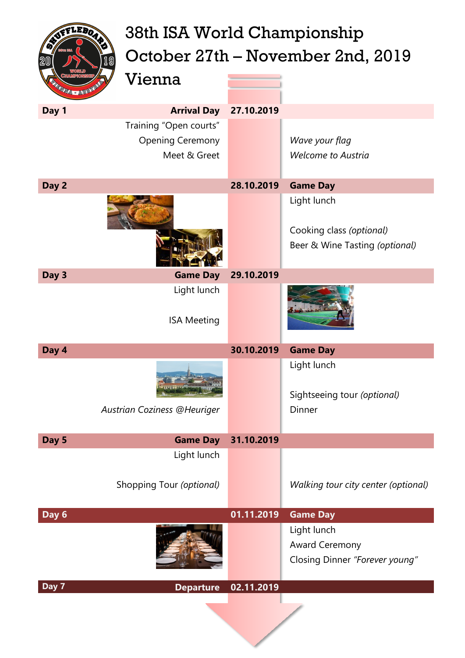| AVETLEBOARD<br>19<br><b>ENERGIA - AUST</b> | 38th ISA World Championship<br>Vienna                             |            | October 27th – November 2nd, 2019                                         |
|--------------------------------------------|-------------------------------------------------------------------|------------|---------------------------------------------------------------------------|
| Day 1                                      | <b>Arrival Day</b>                                                | 27.10.2019 |                                                                           |
|                                            | Training "Open courts"<br><b>Opening Ceremony</b><br>Meet & Greet |            | Wave your flag<br><b>Welcome to Austria</b>                               |
| Day 2                                      |                                                                   | 28.10.2019 | <b>Game Day</b>                                                           |
|                                            |                                                                   |            | Light lunch<br>Cooking class (optional)<br>Beer & Wine Tasting (optional) |
| Day 3                                      | <b>Game Day</b>                                                   | 29.10.2019 |                                                                           |
|                                            | Light lunch<br><b>ISA Meeting</b>                                 |            |                                                                           |
| Day 4                                      |                                                                   | 30.10.2019 | <b>Game Day</b>                                                           |
|                                            | Austrian Coziness @Heuriger                                       |            | Light lunch<br>Sightseeing tour (optional)<br>Dinner                      |
| Day 5                                      | <b>Game Day</b>                                                   | 31.10.2019 |                                                                           |
|                                            | Light lunch<br>Shopping Tour (optional)                           |            | Walking tour city center (optional)                                       |
| Day 6                                      |                                                                   | 01.11.2019 | <b>Game Day</b>                                                           |
|                                            |                                                                   |            | Light lunch<br>Award Ceremony<br>Closing Dinner "Forever young"           |
| Day 7                                      | <b>Departure</b>                                                  | 02.11.2019 |                                                                           |
|                                            |                                                                   |            |                                                                           |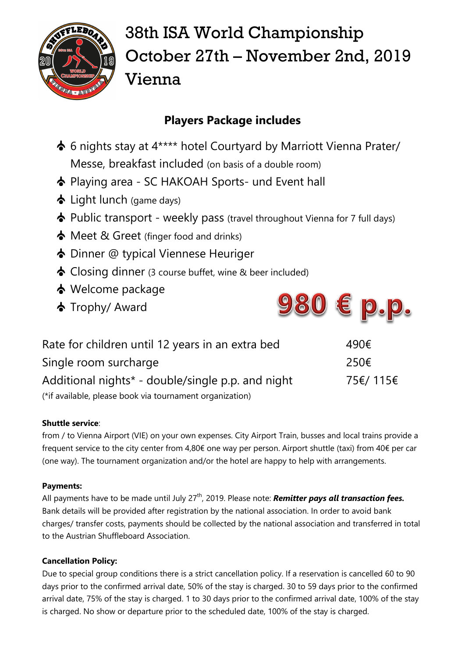

# 38th ISA World Championship October 27th – November 2nd, 2019 Vienna

## **Players Package includes**

- 6 nights stay at 4\*\*\*\* hotel Courtyard by Marriott Vienna Prater/ Messe, breakfast included (on basis of a double room)
- Playing area SC HAKOAH Sports- und Event hall
- Light lunch (game days)
- $\triangle$  Public transport weekly pass (travel throughout Vienna for 7 full days)
- $\bullet$  Meet & Greet (finger food and drinks)
- Dinner @ typical Viennese Heuriger
- Closing dinner (3 course buffet, wine & beer included)
- Welcome package
- Trophy/ Award



| Rate for children until 12 years in an extra bed         | 490€     |
|----------------------------------------------------------|----------|
| Single room surcharge                                    | 250€     |
| Additional nights* - double/single p.p. and night        | 75€/115€ |
| (*if available, please book via tournament organization) |          |

### **Shuttle service**:

from / to Vienna Airport (VIE) on your own expenses. City Airport Train, busses and local trains provide a frequent service to the city center from 4,80€ one way per person. Airport shuttle (taxi) from 40€ per car (one way). The tournament organization and/or the hotel are happy to help with arrangements.

### **Payments:**

All payments have to be made until July 27<sup>th</sup>, 2019. Please note: **Remitter pays all transaction fees.** Bank details will be provided after registration by the national association. In order to avoid bank charges/ transfer costs, payments should be collected by the national association and transferred in total to the Austrian Shuffleboard Association.

### **Cancellation Policy:**

Due to special group conditions there is a strict cancellation policy. If a reservation is cancelled 60 to 90 days prior to the confirmed arrival date, 50% of the stay is charged. 30 to 59 days prior to the confirmed arrival date, 75% of the stay is charged. 1 to 30 days prior to the confirmed arrival date, 100% of the stay is charged. No show or departure prior to the scheduled date, 100% of the stay is charged.